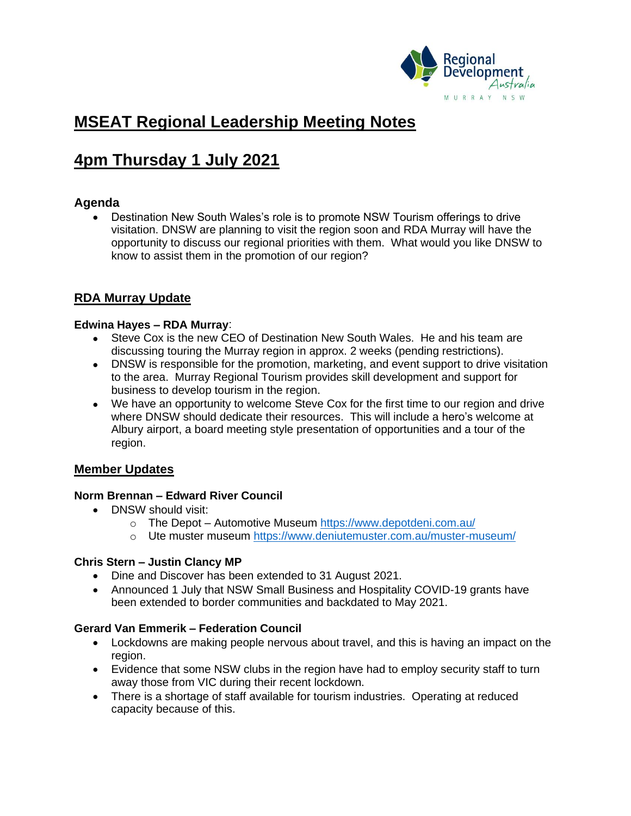

# **MSEAT Regional Leadership Meeting Notes**

# **4pm Thursday 1 July 2021**

# **Agenda**

• Destination New South Wales's role is to promote NSW Tourism offerings to drive visitation. DNSW are planning to visit the region soon and RDA Murray will have the opportunity to discuss our regional priorities with them. What would you like DNSW to know to assist them in the promotion of our region?

# **RDA Murray Update**

## **Edwina Hayes – RDA Murray**:

- Steve Cox is the new CEO of Destination New South Wales. He and his team are discussing touring the Murray region in approx. 2 weeks (pending restrictions).
- DNSW is responsible for the promotion, marketing, and event support to drive visitation to the area. Murray Regional Tourism provides skill development and support for business to develop tourism in the region.
- We have an opportunity to welcome Steve Cox for the first time to our region and drive where DNSW should dedicate their resources. This will include a hero's welcome at Albury airport, a board meeting style presentation of opportunities and a tour of the region.

# **Member Updates**

## **Norm Brennan – Edward River Council**

- DNSW should visit:
	- o The Depot Automotive Museum <https://www.depotdeni.com.au/>
	- o Ute muster museum<https://www.deniutemuster.com.au/muster-museum/>

## **Chris Stern – Justin Clancy MP**

- Dine and Discover has been extended to 31 August 2021.
- Announced 1 July that NSW Small Business and Hospitality COVID-19 grants have been extended to border communities and backdated to May 2021.

# **Gerard Van Emmerik – Federation Council**

- Lockdowns are making people nervous about travel, and this is having an impact on the region.
- Evidence that some NSW clubs in the region have had to employ security staff to turn away those from VIC during their recent lockdown.
- There is a shortage of staff available for tourism industries. Operating at reduced capacity because of this.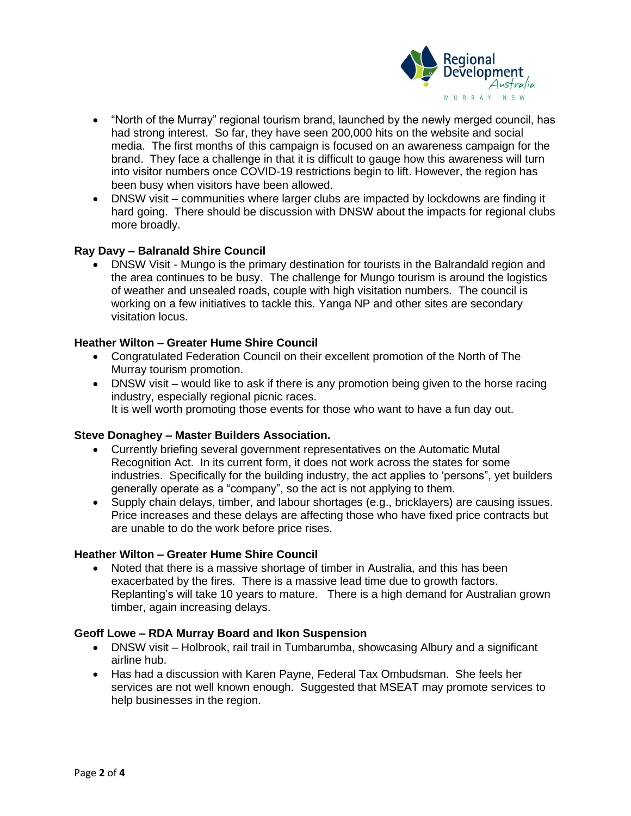

- "North of the Murray" regional tourism brand, launched by the newly merged council, has had strong interest. So far, they have seen 200,000 hits on the website and social media. The first months of this campaign is focused on an awareness campaign for the brand. They face a challenge in that it is difficult to gauge how this awareness will turn into visitor numbers once COVID-19 restrictions begin to lift. However, the region has been busy when visitors have been allowed.
- DNSW visit communities where larger clubs are impacted by lockdowns are finding it hard going. There should be discussion with DNSW about the impacts for regional clubs more broadly.

## **Ray Davy – Balranald Shire Council**

• DNSW Visit - Mungo is the primary destination for tourists in the Balrandald region and the area continues to be busy. The challenge for Mungo tourism is around the logistics of weather and unsealed roads, couple with high visitation numbers. The council is working on a few initiatives to tackle this. Yanga NP and other sites are secondary visitation locus.

## **Heather Wilton – Greater Hume Shire Council**

- Congratulated Federation Council on their excellent promotion of the North of The Murray tourism promotion.
- DNSW visit would like to ask if there is any promotion being given to the horse racing industry, especially regional picnic races. It is well worth promoting those events for those who want to have a fun day out.

#### **Steve Donaghey – Master Builders Association.**

- Currently briefing several government representatives on the Automatic Mutal Recognition Act. In its current form, it does not work across the states for some industries. Specifically for the building industry, the act applies to 'persons", yet builders generally operate as a "company", so the act is not applying to them.
- Supply chain delays, timber, and labour shortages (e.g., bricklayers) are causing issues. Price increases and these delays are affecting those who have fixed price contracts but are unable to do the work before price rises.

#### **Heather Wilton – Greater Hume Shire Council**

• Noted that there is a massive shortage of timber in Australia, and this has been exacerbated by the fires. There is a massive lead time due to growth factors. Replanting's will take 10 years to mature. There is a high demand for Australian grown timber, again increasing delays.

#### **Geoff Lowe – RDA Murray Board and Ikon Suspension**

- DNSW visit Holbrook, rail trail in Tumbarumba, showcasing Albury and a significant airline hub.
- Has had a discussion with Karen Payne, Federal Tax Ombudsman. She feels her services are not well known enough. Suggested that MSEAT may promote services to help businesses in the region.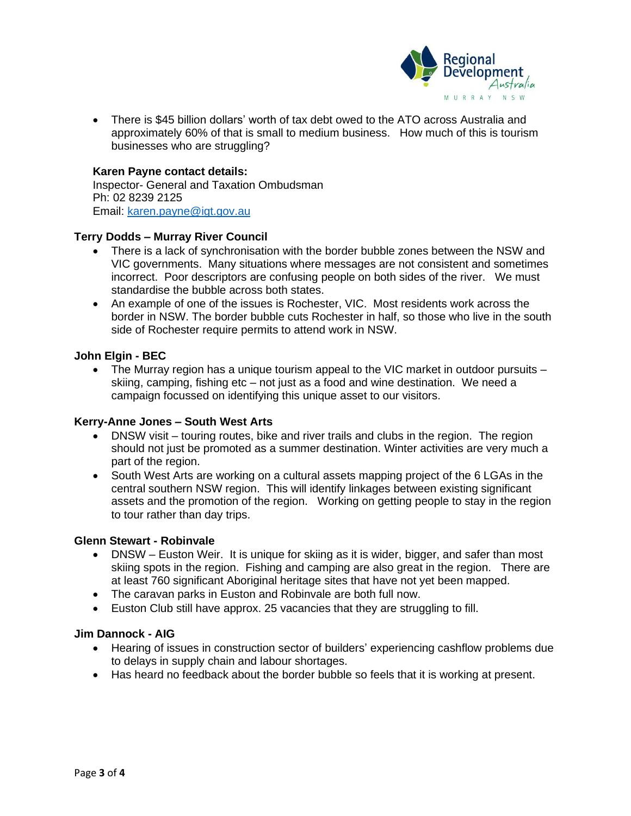

• There is \$45 billion dollars' worth of tax debt owed to the ATO across Australia and approximately 60% of that is small to medium business. How much of this is tourism businesses who are struggling?

#### **Karen Payne contact details:**

Inspector- General and Taxation Ombudsman Ph: 02 8239 2125 Email: [karen.payne@igt.gov.au](mailto:karen.payne@igt.gov.au)

#### **Terry Dodds – Murray River Council**

- There is a lack of synchronisation with the border bubble zones between the NSW and VIC governments. Many situations where messages are not consistent and sometimes incorrect. Poor descriptors are confusing people on both sides of the river. We must standardise the bubble across both states.
- An example of one of the issues is Rochester, VIC. Most residents work across the border in NSW. The border bubble cuts Rochester in half, so those who live in the south side of Rochester require permits to attend work in NSW.

#### **John Elgin - BEC**

The Murray region has a unique tourism appeal to the VIC market in outdoor pursuits  $$ skiing, camping, fishing etc – not just as a food and wine destination. We need a campaign focussed on identifying this unique asset to our visitors.

#### **Kerry-Anne Jones – South West Arts**

- DNSW visit touring routes, bike and river trails and clubs in the region. The region should not just be promoted as a summer destination. Winter activities are very much a part of the region.
- South West Arts are working on a cultural assets mapping project of the 6 LGAs in the central southern NSW region. This will identify linkages between existing significant assets and the promotion of the region. Working on getting people to stay in the region to tour rather than day trips.

#### **Glenn Stewart - Robinvale**

- DNSW Euston Weir. It is unique for skiing as it is wider, bigger, and safer than most skiing spots in the region. Fishing and camping are also great in the region. There are at least 760 significant Aboriginal heritage sites that have not yet been mapped.
- The caravan parks in Euston and Robinvale are both full now.
- Euston Club still have approx. 25 vacancies that they are struggling to fill.

#### **Jim Dannock - AIG**

- Hearing of issues in construction sector of builders' experiencing cashflow problems due to delays in supply chain and labour shortages.
- Has heard no feedback about the border bubble so feels that it is working at present.